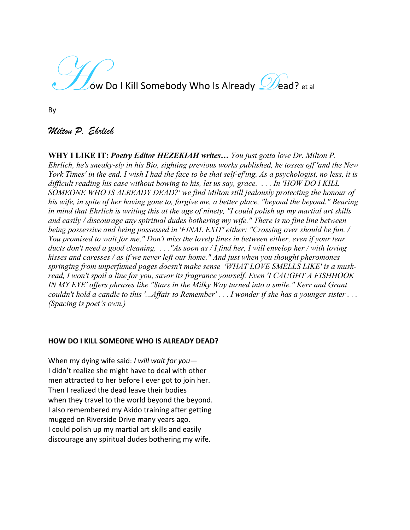ow Do I Kill Somebody Who Is Already  $\mathscr{D}$ ead? et al

By

# *Milton P. Ehrlich*

**WHY I LIKE IT:** *Poetry Editor HEZEKIAH writes… You just gotta love Dr. Milton P. Ehrlich, he's sneaky-sly in his Bio, sighting previous works published, he tosses off 'and the New York Times' in the end. I wish I had the face to be that self-ef'ing. As a psychologist, no less, it is difficult reading his case without bowing to his, let us say, grace. . . . In 'HOW DO I KILL SOMEONE WHO IS ALREADY DEAD?' we find Milton still jealously protecting the honour of his wife, in spite of her having gone to, forgive me, a better place, "beyond the beyond." Bearing in mind that Ehrlich is writing this at the age of ninety, "I could polish up my martial art skills and easily / discourage any spiritual dudes bothering my wife." There is no fine line between being possessive and being possessed in 'FINAL EXIT' either: "Crossing over should be fun. / You promised to wait for me," Don't miss the lovely lines in between either, even if your tear ducts don't need a good cleaning. . . ."As soon as / I find her, I will envelop her / with loving kisses and caresses / as if we never left our home." And just when you thought pheromones springing from unperfumed pages doesn't make sense 'WHAT LOVE SMELLS LIKE' is a muskread, I won't spoil a line for you, savor its fragrance yourself. Even 'I CAUGHT A FISHHOOK IN MY EYE' offers phrases like "Stars in the Milky Way turned into a smile." Kerr and Grant couldn't hold a candle to this '...Affair to Remember' . . . I wonder if she has a younger sister . . . (Spacing is poet's own.)*

## **HOW DO I KILL SOMEONE WHO IS ALREADY DEAD?**

When my dying wife said: *I will wait for you*— I didn't realize she might have to deal with other men attracted to her before I ever got to join her. Then I realized the dead leave their bodies when they travel to the world beyond the beyond. I also remembered my Akido training after getting mugged on Riverside Drive many years ago. I could polish up my martial art skills and easily discourage any spiritual dudes bothering my wife.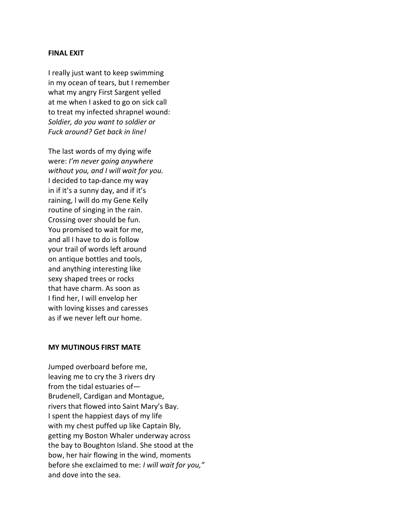#### **FINAL EXIT**

I really just want to keep swimming in my ocean of tears, but I remember what my angry First Sargent yelled at me when I asked to go on sick call to treat my infected shrapnel wound: *Soldier, do you want to soldier or Fuck around? Get back in line!*

The last words of my dying wife were: *I'm never going anywhere without you, and I will wait for you.* I decided to tap-dance my way in if it's a sunny day, and if it's raining, l will do my Gene Kelly routine of singing in the rain. Crossing over should be fun. You promised to wait for me, and all I have to do is follow your trail of words left around on antique bottles and tools, and anything interesting like sexy shaped trees or rocks that have charm. As soon as I find her, I will envelop her with loving kisses and caresses as if we never left our home.

## **MY MUTINOUS FIRST MATE**

Jumped overboard before me, leaving me to cry the 3 rivers dry from the tidal estuaries of— Brudenell, Cardigan and Montague, rivers that flowed into Saint Mary's Bay. I spent the happiest days of my life with my chest puffed up like Captain Bly, getting my Boston Whaler underway across the bay to Boughton Island. She stood at the bow, her hair flowing in the wind, moments before she exclaimed to me: *I will wait for you,"* and dove into the sea.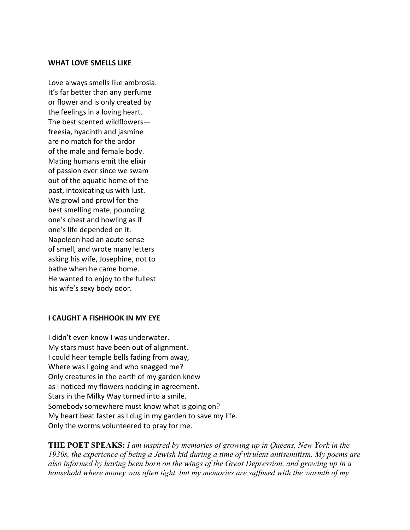#### **WHAT LOVE SMELLS LIKE**

Love always smells like ambrosia. It's far better than any perfume or flower and is only created by the feelings in a loving heart. The best scented wildflowers freesia, hyacinth and jasmine are no match for the ardor of the male and female body. Mating humans emit the elixir of passion ever since we swam out of the aquatic home of the past, intoxicating us with lust. We growl and prowl for the best smelling mate, pounding one's chest and howling as if one's life depended on it. Napoleon had an acute sense of smell, and wrote many letters asking his wife, Josephine, not to bathe when he came home. He wanted to enjoy to the fullest his wife's sexy body odor.

### **I CAUGHT A FISHHOOK IN MY EYE**

I didn't even know I was underwater. My stars must have been out of alignment. I could hear temple bells fading from away, Where was I going and who snagged me? Only creatures in the earth of my garden knew as I noticed my flowers nodding in agreement. Stars in the Milky Way turned into a smile. Somebody somewhere must know what is going on? My heart beat faster as I dug in my garden to save my life. Only the worms volunteered to pray for me.

**THE POET SPEAKS:** *I am inspired by memories of growing up in Queens, New York in the 1930s, the experience of being a Jewish kid during a time of virulent antisemitism. My poems are also informed by having been born on the wings of the Great Depression, and growing up in a household where money was often tight, but my memories are suffused with the warmth of my*